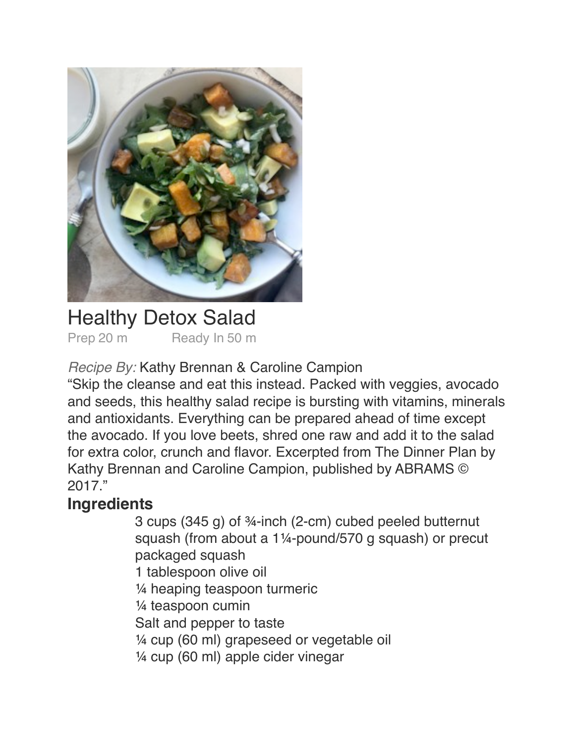

### Healthy Detox Salad Prep 20 m Ready In 50 m

*Recipe By:* Kathy Brennan & Caroline Campion

"Skip the cleanse and eat this instead. Packed with veggies, avocado and seeds, this healthy salad recipe is bursting with vitamins, minerals and antioxidants. Everything can be prepared ahead of time except the avocado. If you love beets, shred one raw and add it to the salad for extra color, crunch and flavor. Excerpted from The Dinner Plan by Kathy Brennan and Caroline Campion, published by ABRAMS © 2017."

## **Ingredients**

! ! 3 cups (345 g) of ¾-inch (2-cm) cubed peeled butternut squash (from about a 1¼-pound/570 g squash) or precut packaged squash 1 tablespoon olive oil 1/4 heaping teaspoon turmeric  $\frac{1}{4}$  teaspoon cumin Salt and pepper to taste  $\frac{1}{4}$  cup (60 ml) grapeseed or vegetable oil  $\frac{1}{4}$  cup (60 ml) apple cider vinegar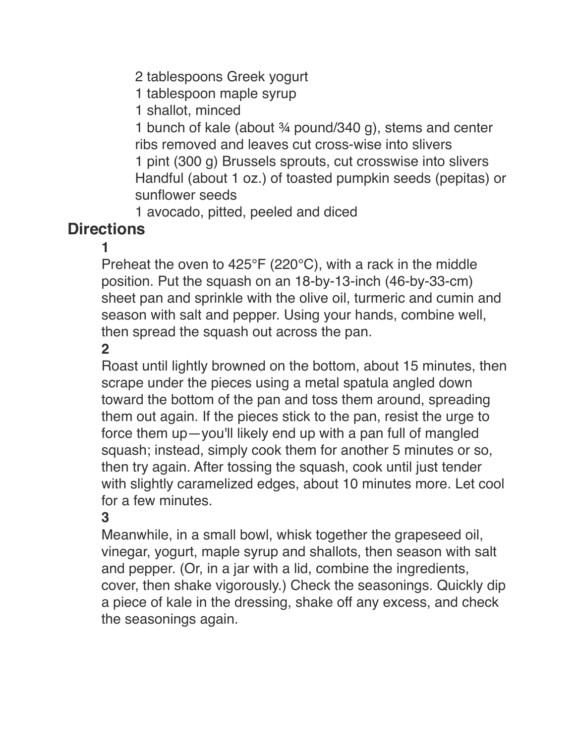2 tablespoons Greek yogurt

1 tablespoon maple syrup

1 shallot, minced

1 bunch of kale (about  $\frac{3}{4}$  pound/340 g), stems and center ribs removed and leaves cut cross-wise into slivers 1 pint (300 g) Brussels sprouts, cut crosswise into slivers Handful (about 1 oz.) of toasted pumpkin seeds (pepitas) or sunflower seeds

1 avocado, pitted, peeled and diced

# **Directions**

 $\blacksquare$ 

Preheat the oven to  $425^{\circ}F(220^{\circ}C)$ , with a rack in the middle position. Put the squash on an 18-by-13-inch (46-by-33-cm) sheet pan and sprinkle with the olive oil, turmeric and cumin and season with salt and pepper. Using your hands, combine well, then spread the squash out across the pan.

 $2<sup>1</sup>$ 

Roast until lightly browned on the bottom, about 15 minutes, then scrape under the pieces using a metal spatula angled down toward the bottom of the pan and toss them around, spreading them out again. If the pieces stick to the pan, resist the urge to force them up—you'll likely end up with a pan full of mangled squash; instead, simply cook them for another 5 minutes or so, then try again. After tossing the squash, cook until just tender with slightly caramelized edges, about 10 minutes more. Let cool for a few minutes.

#### ! ! **3**

Meanwhile, in a small bowl, whisk together the grapeseed oil, vinegar, yogurt, maple syrup and shallots, then season with salt and pepper. (Or, in a jar with a lid, combine the ingredients, cover, then shake vigorously.) Check the seasonings. Quickly dip a piece of kale in the dressing, shake off any excess, and check the seasonings again.